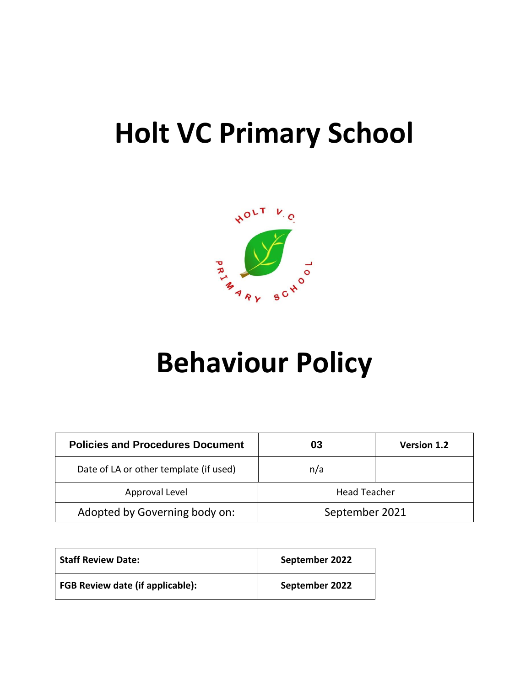# **Holt VC Primary School**



# **Behaviour Policy**

| <b>Policies and Procedures Document</b> | 03                  | <b>Version 1.2</b> |
|-----------------------------------------|---------------------|--------------------|
| Date of LA or other template (if used)  | n/a                 |                    |
| Approval Level                          | <b>Head Teacher</b> |                    |
| Adopted by Governing body on:           | September 2021      |                    |

| <b>Staff Review Date:</b>               | September 2022 |
|-----------------------------------------|----------------|
| <b>FGB Review date (if applicable):</b> | September 2022 |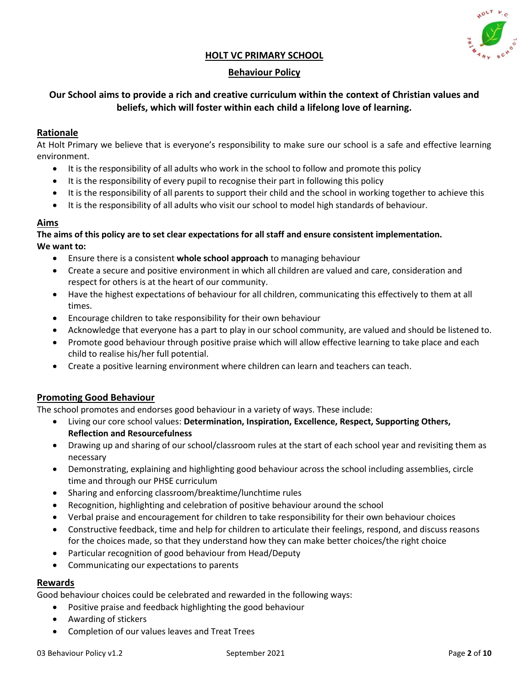

#### **HOLT VC PRIMARY SCHOOL**

#### **Behaviour Policy**

#### **Our School aims to provide a rich and creative curriculum within the context of Christian values and beliefs, which will foster within each child a lifelong love of learning.**

#### **Rationale**

At Holt Primary we believe that is everyone's responsibility to make sure our school is a safe and effective learning environment.

- It is the responsibility of all adults who work in the school to follow and promote this policy
- It is the responsibility of every pupil to recognise their part in following this policy
- It is the responsibility of all parents to support their child and the school in working together to achieve this
- It is the responsibility of all adults who visit our school to model high standards of behaviour.

#### **Aims**

#### **The aims of this policy are to set clear expectations for all staff and ensure consistent implementation. We want to:**

- Ensure there is a consistent **whole school approach** to managing behaviour
- Create a secure and positive environment in which all children are valued and care, consideration and respect for others is at the heart of our community.
- Have the highest expectations of behaviour for all children, communicating this effectively to them at all times.
- Encourage children to take responsibility for their own behaviour
- Acknowledge that everyone has a part to play in our school community, are valued and should be listened to.
- Promote good behaviour through positive praise which will allow effective learning to take place and each child to realise his/her full potential.
- Create a positive learning environment where children can learn and teachers can teach.

#### **Promoting Good Behaviour**

The school promotes and endorses good behaviour in a variety of ways. These include:

- Living our core school values: **Determination, Inspiration, Excellence, Respect, Supporting Others, Reflection and Resourcefulness**
- Drawing up and sharing of our school/classroom rules at the start of each school year and revisiting them as necessary
- Demonstrating, explaining and highlighting good behaviour across the school including assemblies, circle time and through our PHSE curriculum
- Sharing and enforcing classroom/breaktime/lunchtime rules
- Recognition, highlighting and celebration of positive behaviour around the school
- Verbal praise and encouragement for children to take responsibility for their own behaviour choices
- Constructive feedback, time and help for children to articulate their feelings, respond, and discuss reasons for the choices made, so that they understand how they can make better choices/the right choice
- Particular recognition of good behaviour from Head/Deputy
- Communicating our expectations to parents

#### **Rewards**

Good behaviour choices could be celebrated and rewarded in the following ways:

- Positive praise and feedback highlighting the good behaviour
- Awarding of stickers
- Completion of our values leaves and Treat Trees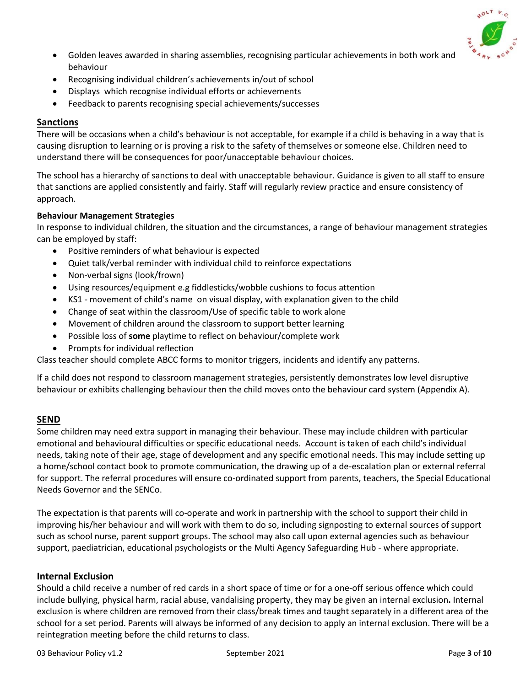

- Golden leaves awarded in sharing assemblies, recognising particular achievements in both work and behaviour
- Recognising individual children's achievements in/out of school
- Displays which recognise individual efforts or achievements
- Feedback to parents recognising special achievements/successes

#### **Sanctions**

There will be occasions when a child's behaviour is not acceptable, for example if a child is behaving in a way that is causing disruption to learning or is proving a risk to the safety of themselves or someone else. Children need to understand there will be consequences for poor/unacceptable behaviour choices.

The school has a hierarchy of sanctions to deal with unacceptable behaviour. Guidance is given to all staff to ensure that sanctions are applied consistently and fairly. Staff will regularly review practice and ensure consistency of approach.

#### **Behaviour Management Strategies**

In response to individual children, the situation and the circumstances, a range of behaviour management strategies can be employed by staff:

- Positive reminders of what behaviour is expected
- Quiet talk/verbal reminder with individual child to reinforce expectations
- Non-verbal signs (look/frown)
- Using resources/equipment e.g fiddlesticks/wobble cushions to focus attention
- KS1 movement of child's name on visual display, with explanation given to the child
- Change of seat within the classroom/Use of specific table to work alone
- Movement of children around the classroom to support better learning
- Possible loss of **some** playtime to reflect on behaviour/complete work
- Prompts for individual reflection

Class teacher should complete ABCC forms to monitor triggers, incidents and identify any patterns.

If a child does not respond to classroom management strategies, persistently demonstrates low level disruptive behaviour or exhibits challenging behaviour then the child moves onto the behaviour card system (Appendix A).

#### **SEND**

Some children may need extra support in managing their behaviour. These may include children with particular emotional and behavioural difficulties or specific educational needs. Account is taken of each child's individual needs, taking note of their age, stage of development and any specific emotional needs. This may include setting up a home/school contact book to promote communication, the drawing up of a de-escalation plan or external referral for support. The referral procedures will ensure co-ordinated support from parents, teachers, the Special Educational Needs Governor and the SENCo.

The expectation is that parents will co-operate and work in partnership with the school to support their child in improving his/her behaviour and will work with them to do so, including signposting to external sources of support such as school nurse, parent support groups. The school may also call upon external agencies such as behaviour support, paediatrician, educational psychologists or the Multi Agency Safeguarding Hub - where appropriate.

#### **Internal Exclusion**

Should a child receive a number of red cards in a short space of time or for a one-off serious offence which could include bullying, physical harm, racial abuse, vandalising property, they may be given an internal exclusion**.** Internal exclusion is where children are removed from their class/break times and taught separately in a different area of the school for a set period. Parents will always be informed of any decision to apply an internal exclusion. There will be a reintegration meeting before the child returns to class.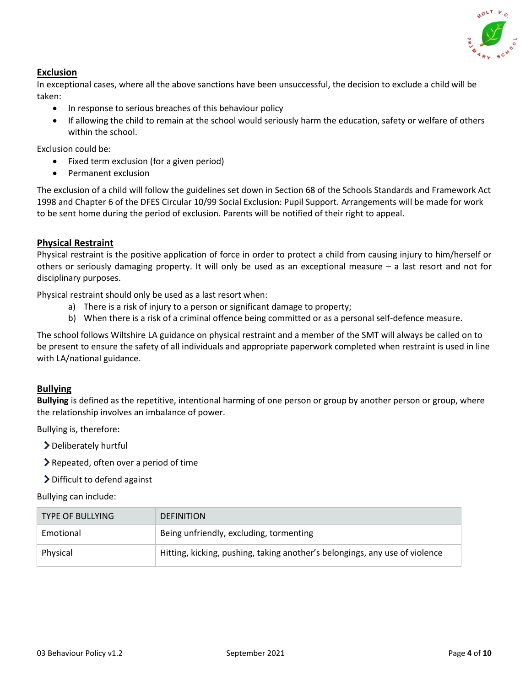

#### **Exclusion**

In exceptional cases, where all the above sanctions have been unsuccessful, the decision to exclude a child will be taken:

- In response to serious breaches of this behaviour policy
- If allowing the child to remain at the school would seriously harm the education, safety or welfare of others within the school.

Exclusion could be:

- Fixed term exclusion (for a given period)
- Permanent exclusion

The exclusion of a child will follow the guidelines set down in Section 68 of the Schools Standards and Framework Act 1998 and Chapter 6 of the DFES Circular 10/99 Social Exclusion: Pupil Support. Arrangements will be made for work to be sent home during the period of exclusion. Parents will be notified of their right to appeal.

#### **Physical Restraint**

Physical restraint is the positive application of force in order to protect a child from causing injury to him/herself or others or seriously damaging property. It will only be used as an exceptional measure – a last resort and not for disciplinary purposes.

Physical restraint should only be used as a last resort when:

- a) There is a risk of injury to a person or significant damage to property;
- b) When there is a risk of a criminal offence being committed or as a personal self-defence measure.

The school follows Wiltshire LA guidance on physical restraint and a member of the SMT will always be called on to be present to ensure the safety of all individuals and appropriate paperwork completed when restraint is used in line with LA/national guidance.

#### **Bullying**

**Bullying** is defined as the repetitive, intentional harming of one person or group by another person or group, where the relationship involves an imbalance of power.

Bullying is, therefore:

Deliberately hurtful

Repeated, often over a period of time

Difficult to defend against

Bullying can include:

| <b>TYPE OF BULLYING</b> | <b>DEFINITION</b>                                                           |
|-------------------------|-----------------------------------------------------------------------------|
| Emotional               | Being unfriendly, excluding, tormenting                                     |
| Physical                | Hitting, kicking, pushing, taking another's belongings, any use of violence |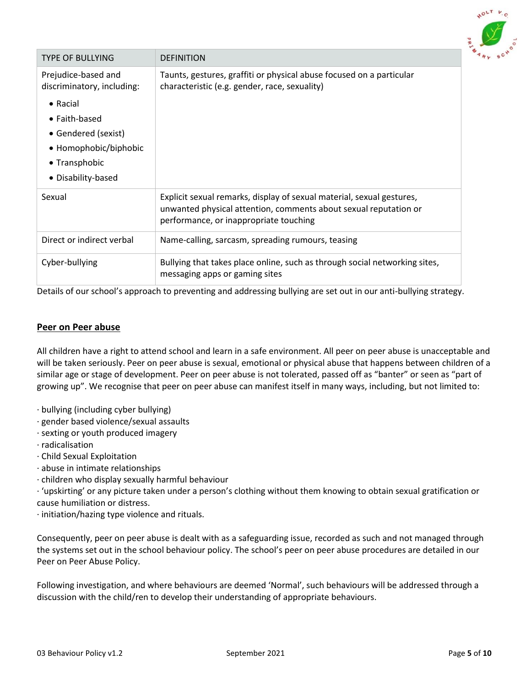

| <b>TYPE OF BULLYING</b>                                                                                                  | <b>DEFINITION</b>                                                                                                                                                                   |
|--------------------------------------------------------------------------------------------------------------------------|-------------------------------------------------------------------------------------------------------------------------------------------------------------------------------------|
| Prejudice-based and<br>discriminatory, including:                                                                        | Taunts, gestures, graffiti or physical abuse focused on a particular<br>characteristic (e.g. gender, race, sexuality)                                                               |
| $\bullet$ Racial<br>• Faith-based<br>• Gendered (sexist)<br>• Homophobic/biphobic<br>• Transphobic<br>• Disability-based |                                                                                                                                                                                     |
| Sexual                                                                                                                   | Explicit sexual remarks, display of sexual material, sexual gestures,<br>unwanted physical attention, comments about sexual reputation or<br>performance, or inappropriate touching |
| Direct or indirect verbal                                                                                                | Name-calling, sarcasm, spreading rumours, teasing                                                                                                                                   |
| Cyber-bullying                                                                                                           | Bullying that takes place online, such as through social networking sites,<br>messaging apps or gaming sites                                                                        |

Details of our school's approach to preventing and addressing bullying are set out in our anti-bullying strategy.

#### **Peer on Peer abuse**

All children have a right to attend school and learn in a safe environment. All peer on peer abuse is unacceptable and will be taken seriously. Peer on peer abuse is sexual, emotional or physical abuse that happens between children of a similar age or stage of development. Peer on peer abuse is not tolerated, passed off as "banter" or seen as "part of growing up". We recognise that peer on peer abuse can manifest itself in many ways, including, but not limited to:

- · bullying (including cyber bullying)
- · gender based violence/sexual assaults
- · sexting or youth produced imagery
- · radicalisation
- · Child Sexual Exploitation
- · abuse in intimate relationships
- · children who display sexually harmful behaviour

· 'upskirting' or any picture taken under a person's clothing without them knowing to obtain sexual gratification or cause humiliation or distress.

· initiation/hazing type violence and rituals.

Consequently, peer on peer abuse is dealt with as a safeguarding issue, recorded as such and not managed through the systems set out in the school behaviour policy. The school's peer on peer abuse procedures are detailed in our Peer on Peer Abuse Policy.

Following investigation, and where behaviours are deemed 'Normal', such behaviours will be addressed through a discussion with the child/ren to develop their understanding of appropriate behaviours.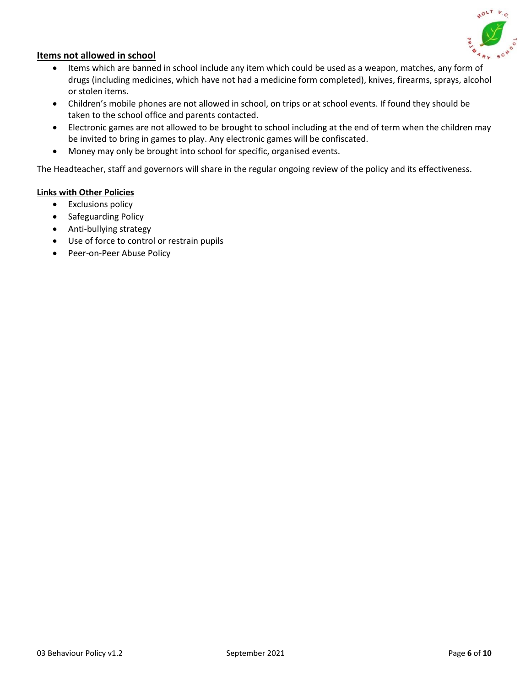

#### **Items not allowed in school**

- Items which are banned in school include any item which could be used as a weapon, matches, any form of drugs (including medicines, which have not had a medicine form completed), knives, firearms, sprays, alcohol or stolen items.
- Children's mobile phones are not allowed in school, on trips or at school events. If found they should be taken to the school office and parents contacted.
- Electronic games are not allowed to be brought to school including at the end of term when the children may be invited to bring in games to play. Any electronic games will be confiscated.
- Money may only be brought into school for specific, organised events.

The Headteacher, staff and governors will share in the regular ongoing review of the policy and its effectiveness.

#### **Links with Other Policies**

- Exclusions policy
- Safeguarding Policy
- Anti-bullying strategy
- Use of force to control or restrain pupils
- Peer-on-Peer Abuse Policy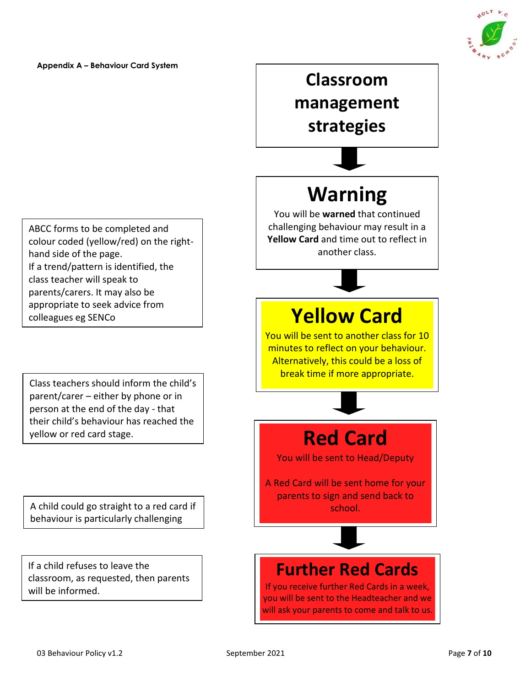

**Appendix A – Behaviour Card System**

ABCC forms to be completed and colour coded (yellow/red) on the righthand side of the page. If a trend/pattern is identified, the class teacher will speak to parents/carers. It may also be appropriate to seek advice from colleagues eg SENCo

Class teachers should inform the child's parent/carer – either by phone or in person at the end of the day - that their child's behaviour has reached the yellow or red card stage.

A child could go straight to a red card if behaviour is particularly challenging

If a child refuses to leave the classroom, as requested, then parents will be informed.

# **Classroom management strategies**

# **Warning**

You will be **warned** that continued challenging behaviour may result in a **Yellow Card** and time out to reflect in another class.

## **Yellow Card**

You will be sent to another class for 10 minutes to reflect on your behaviour. Alternatively, this could be a loss of break time if more appropriate.

## **Red Card**

You will be sent to Head/Deputy

A Red Card will be sent home for your parents to sign and send back to school.

### **Further Red Cards**

If you receive further Red Cards in a week, you will be sent to the Headteacher and we will ask your parents to come and talk to us.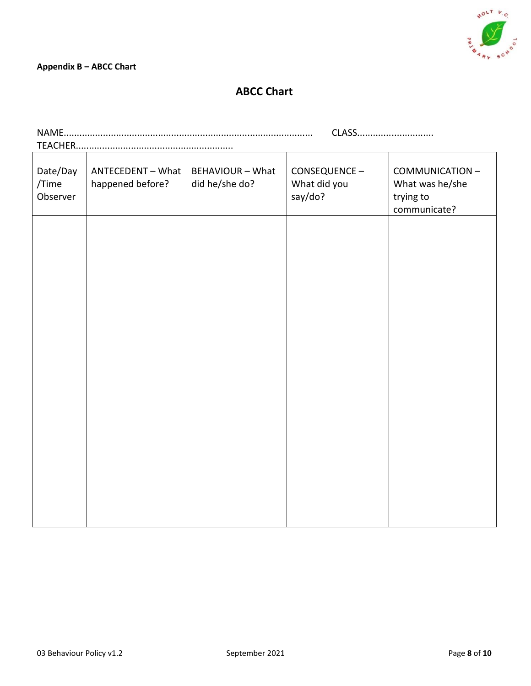

#### **ABCC Chart**

|                               |                                       |                                           | CLASS                                   |                                                                 |
|-------------------------------|---------------------------------------|-------------------------------------------|-----------------------------------------|-----------------------------------------------------------------|
|                               |                                       |                                           |                                         |                                                                 |
| Date/Day<br>/Time<br>Observer | ANTECEDENT - What<br>happened before? | <b>BEHAVIOUR - What</b><br>did he/she do? | CONSEQUENCE-<br>What did you<br>say/do? | COMMUNICATION -<br>What was he/she<br>trying to<br>communicate? |
|                               |                                       |                                           |                                         |                                                                 |
|                               |                                       |                                           |                                         |                                                                 |
|                               |                                       |                                           |                                         |                                                                 |
|                               |                                       |                                           |                                         |                                                                 |
|                               |                                       |                                           |                                         |                                                                 |
|                               |                                       |                                           |                                         |                                                                 |
|                               |                                       |                                           |                                         |                                                                 |
|                               |                                       |                                           |                                         |                                                                 |
|                               |                                       |                                           |                                         |                                                                 |
|                               |                                       |                                           |                                         |                                                                 |
|                               |                                       |                                           |                                         |                                                                 |
|                               |                                       |                                           |                                         |                                                                 |
|                               |                                       |                                           |                                         |                                                                 |
|                               |                                       |                                           |                                         |                                                                 |
|                               |                                       |                                           |                                         |                                                                 |
|                               |                                       |                                           |                                         |                                                                 |
|                               |                                       |                                           |                                         |                                                                 |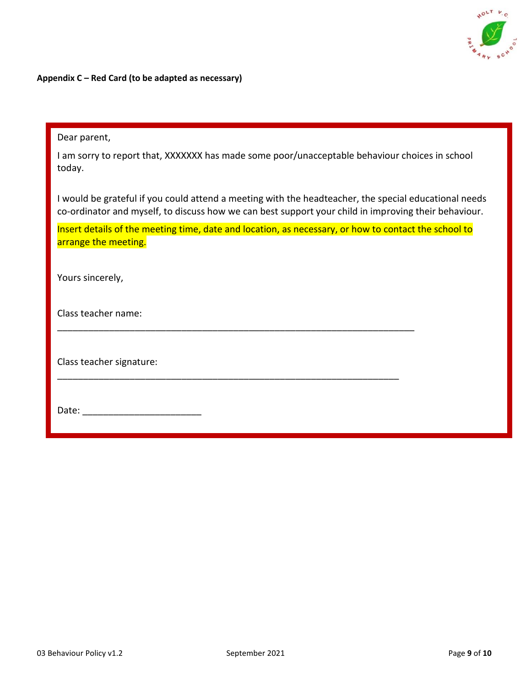

**Appendix C – Red Card (to be adapted as necessary)**

| Dear parent,                                                                                                                                                                                                  |
|---------------------------------------------------------------------------------------------------------------------------------------------------------------------------------------------------------------|
| I am sorry to report that, XXXXXXX has made some poor/unacceptable behaviour choices in school<br>today.                                                                                                      |
| I would be grateful if you could attend a meeting with the headteacher, the special educational needs<br>co-ordinator and myself, to discuss how we can best support your child in improving their behaviour. |
| Insert details of the meeting time, date and location, as necessary, or how to contact the school to<br>arrange the meeting.                                                                                  |
| Yours sincerely,                                                                                                                                                                                              |
| Class teacher name:                                                                                                                                                                                           |
| Class teacher signature:                                                                                                                                                                                      |
| Date:                                                                                                                                                                                                         |